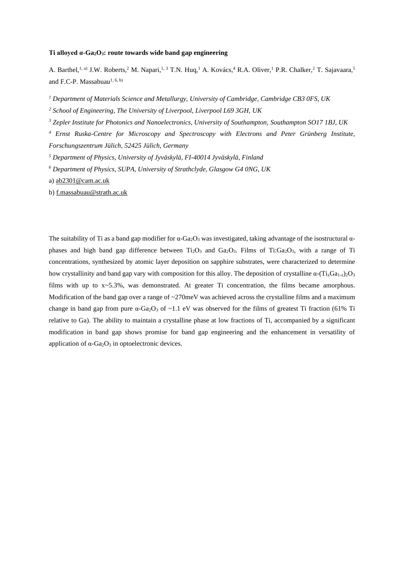# **Ti alloyed α-Ga2O3: route towards wide band gap engineering**

A. Barthel,<sup>1, a)</sup> J.W. Roberts,<sup>2</sup> M. Napari,<sup>1, 3</sup> T.N. Huq,<sup>1</sup> A. Kovács,<sup>4</sup> R.A. Oliver,<sup>1</sup> P.R. Chalker,<sup>2</sup> T. Sajavaara,<sup>5</sup> and F.C-P. Massabuau<sup>1, 6, b)</sup>

*<sup>1</sup> Department of Materials Science and Metallurgy, University of Cambridge, Cambridge CB3 0FS, UK*

*<sup>2</sup> School of Engineering, The University of Liverpool, Liverpool L69 3GH, UK*

*<sup>3</sup> Zepler Institute for Photonics and Nanoelectronics, University of Southampton, Southampton SO17 1BJ, UK*

*<sup>4</sup> Ernst Ruska-Centre for Microscopy and Spectroscopy with Electrons and Peter Grünberg Institute, Forschungszentrum Jülich, 52425 Jülich, Germany*

*<sup>5</sup> Department of Physics, University of Jyväskylä, FI-40014 Jyväskylä, Finland*

a) [ab2301@cam.ac.uk](mailto:ab2301@cam.ac.uk)

b) [f.massabuau@strath.ac.uk](mailto:f.massabuau@strath.ac.uk)

The suitability of Ti as a band gap modifier for  $\alpha$ -Ga<sub>2</sub>O<sub>3</sub> was investigated, taking advantage of the isostructural  $\alpha$ phases and high band gap difference between  $Ti_2O_3$  and  $Ga_2O_3$ . Films of Ti: $Ga_2O_3$ , with a range of Ti concentrations, synthesized by atomic layer deposition on sapphire substrates, were characterized to determine how crystallinity and band gap vary with composition for this alloy. The deposition of crystalline  $\alpha$ -(T<sub>ix</sub>Ga<sub>1-x</sub>)<sub>2</sub>O<sub>3</sub> films with up to  $x \sim 5.3\%$ , was demonstrated. At greater Ti concentration, the films became amorphous. Modification of the band gap over a range of  $\sim$ 270meV was achieved across the crystalline films and a maximum change in band gap from pure  $\alpha$ -Ga<sub>2</sub>O<sub>3</sub> of ~1.1 eV was observed for the films of greatest Ti fraction (61% Ti relative to Ga). The ability to maintain a crystalline phase at low fractions of Ti, accompanied by a significant modification in band gap shows promise for band gap engineering and the enhancement in versatility of application of  $\alpha$ -Ga<sub>2</sub>O<sub>3</sub> in optoelectronic devices.

*<sup>6</sup> Department of Physics, SUPA, University of Strathclyde, Glasgow G4 0NG, UK*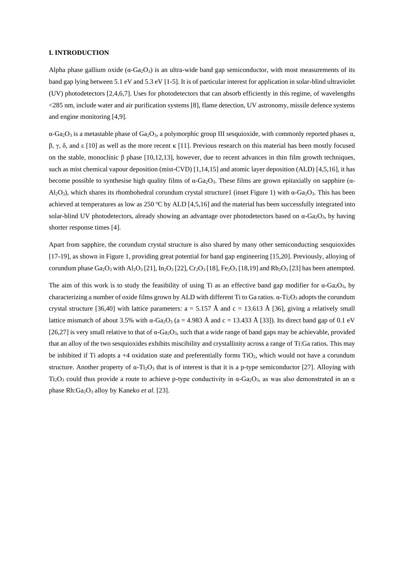### **I. INTRODUCTION**

Alpha phase gallium oxide ( $\alpha$ -Ga<sub>2</sub>O<sub>3</sub>) is an ultra-wide band gap semiconductor, with most measurements of its band gap lying between 5.1 eV and 5.3 eV [1-5]. It is of particular interest for application in solar-blind ultraviolet (UV) photodetectors [2,4,6,7]. Uses for photodetectors that can absorb efficiently in this regime, of wavelengths <285 nm, include water and air purification systems [8], flame detection, UV astronomy, missile defence systems and engine monitoring [4,9].

 $\alpha$ -Ga<sub>2</sub>O<sub>3</sub> is a metastable phase of Ga<sub>2</sub>O<sub>3</sub>, a polymorphic group III sesquioxide, with commonly reported phases  $\alpha$ , β, γ, δ, and ε [10] as well as the more recent κ [11]. Previous research on this material has been mostly focused on the stable, monoclinic β phase  $[10,12,13]$ , however, due to recent advances in thin film growth techniques, such as mist chemical vapour deposition (mist-CVD) [1,14,15] and atomic layer deposition (ALD) [4,5,16], it has become possible to synthesise high quality films of  $\alpha$ -Ga<sub>2</sub>O<sub>3</sub>. These films are grown epitaxially on sapphire ( $\alpha$ - $A<sub>2</sub>O<sub>3</sub>$ , which shares its rhombohedral corundum crystal structure1 (inset Figure 1) with  $\alpha$ -Ga<sub>2</sub>O<sub>3</sub>. This has been achieved at temperatures as low as 250  $\degree$ C by ALD [4,5,16] and the material has been successfully integrated into solar-blind UV photodetectors, already showing an advantage over photodetectors based on  $\alpha$ -Ga<sub>2</sub>O<sub>3</sub>, by having shorter response times [4].

Apart from sapphire, the corundum crystal structure is also shared by many other semiconducting sesquioxides [17-19], as shown in Figure 1, providing great potential for band gap engineering [15,20]. Previously, alloying of corundum phase Ga<sub>2</sub>O<sub>3</sub> with Al<sub>2</sub>O<sub>3</sub> [21], In<sub>2</sub>O<sub>3</sub> [22], Cr<sub>2</sub>O<sub>3</sub> [18], Fe<sub>2</sub>O<sub>3</sub> [18,19] and Rh<sub>2</sub>O<sub>3</sub> [23] has been attempted.

The aim of this work is to study the feasibility of using Ti as an effective band gap modifier for  $\alpha$ -Ga<sub>2</sub>O<sub>3</sub>, by characterizing a number of oxide films grown by ALD with different Ti to Ga ratios.  $\alpha$ -Ti<sub>2</sub>O<sub>3</sub> adopts the corundum crystal structure [36,40] with lattice parameters:  $a = 5.157 \text{ Å}$  and  $c = 13.613 \text{ Å}$  [36], giving a relatively small lattice mismatch of about 3.5% with  $\alpha$ -Ga<sub>2</sub>O<sub>3</sub> (a = 4.983 Å and c = 13.433 Å [33]). Its direct band gap of 0.1 eV [26,27] is very small relative to that of  $\alpha$ -Ga<sub>2</sub>O<sub>3</sub>, such that a wide range of band gaps may be achievable, provided that an alloy of the two sesquioxides exhibits miscibility and crystallinity across a range of Ti:Ga ratios. This may be inhibited if Ti adopts a  $+4$  oxidation state and preferentially forms TiO<sub>2</sub>, which would not have a corundum structure. Another property of  $\alpha$ -Ti<sub>2</sub>O<sub>3</sub> that is of interest is that it is a p-type semiconductor [27]. Alloying with Ti<sub>2</sub>O<sub>3</sub> could thus provide a route to achieve p-type conductivity in  $\alpha$ -Ga<sub>2</sub>O<sub>3</sub>, as was also demonstrated in an  $\alpha$ phase Rh:Ga<sub>2</sub>O<sub>3</sub> alloy by Kaneko *et al.* [23].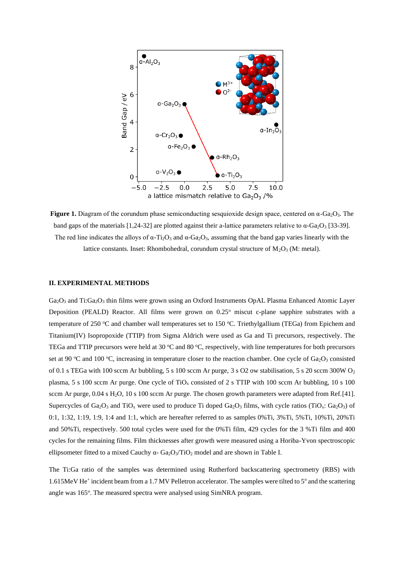

**Figure 1.** Diagram of the corundum phase semiconducting sesquioxide design space, centered on  $\alpha$ -Ga<sub>2</sub>O<sub>3</sub>. The band gaps of the materials [1,24-32] are plotted against their a-lattice parameters relative to  $\alpha$ -Ga<sub>2</sub>O<sub>3</sub> [33-39]. The red line indicates the alloys of  $\alpha$ -Ti<sub>2</sub>O<sub>3</sub> and  $\alpha$ -Ga<sub>2</sub>O<sub>3</sub>, assuming that the band gap varies linearly with the lattice constants. Inset: Rhombohedral, corundum crystal structure of  $M_2O_3$  (M: metal).

### **II. EXPERIMENTAL METHODS**

Ga<sub>2</sub>O<sub>3</sub> and Ti:Ga<sub>2</sub>O<sub>3</sub> thin films were grown using an Oxford Instruments OpAL Plasma Enhanced Atomic Layer Deposition (PEALD) Reactor. All films were grown on 0.25° miscut c-plane sapphire substrates with a temperature of 250  $\degree$ C and chamber wall temperatures set to 150  $\degree$ C. Triethylgallium (TEGa) from Epichem and Titanium(IV) Isopropoxide (TTIP) from Sigma Aldrich were used as Ga and Ti precursors, respectively. The TEGa and TTIP precursors were held at 30  $^{\circ}$ C and 80  $^{\circ}$ C, respectively, with line temperatures for both precursors set at 90 °C and 100 °C, increasing in temperature closer to the reaction chamber. One cycle of  $Ga_2O_3$  consisted of 0.1 s TEGa with 100 sccm Ar bubbling, 5 s 100 sccm Ar purge, 3 s O2 ow stabilisation, 5 s 20 sccm 300W  $O_2$ plasma, 5 s 100 sccm Ar purge. One cycle of  $TiO<sub>x</sub>$  consisted of 2 s TTIP with 100 sccm Ar bubbling, 10 s 100 sccm Ar purge, 0.04 s H<sub>2</sub>O, 10 s 100 sccm Ar purge. The chosen growth parameters were adapted from Ref.[41]. Supercycles of Ga<sub>2</sub>O<sub>3</sub> and TiO<sub>x</sub> were used to produce Ti doped Ga<sub>2</sub>O<sub>3</sub> films, with cycle ratios (TiO<sub>x</sub>: Ga<sub>2</sub>O<sub>3</sub>) of 0:1, 1:32, 1:19, 1:9, 1:4 and 1:1, which are hereafter referred to as samples 0%Ti, 3%Ti, 5%Ti, 10%Ti, 20%Ti and 50%Ti, respectively. 500 total cycles were used for the 0%Ti film, 429 cycles for the 3 %Ti film and 400 cycles for the remaining films. Film thicknesses after growth were measured using a Horiba-Yvon spectroscopic ellipsometer fitted to a mixed Cauchy  $\alpha$ - Ga<sub>2</sub>O<sub>3</sub>/TiO<sub>2</sub> model and are shown in Table I.

The Ti:Ga ratio of the samples was determined using Rutherford backscattering spectrometry (RBS) with 1.615MeV He<sup>+</sup> incident beam from a 1.7 MV Pelletron accelerator. The samples were tilted to 5° and the scattering angle was 165°. The measured spectra were analysed using SimNRA program.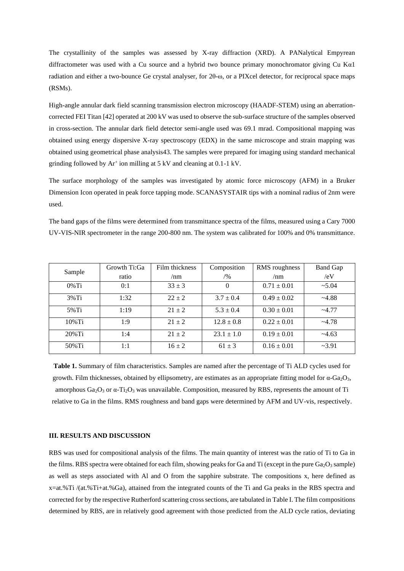The crystallinity of the samples was assessed by X-ray diffraction (XRD). A PANalytical Empyrean diffractometer was used with a Cu source and a hybrid two bounce primary monochromator giving Cu Kα1 radiation and either a two-bounce Ge crystal analyser, for 2θ-ω, or a PIXcel detector, for reciprocal space maps (RSMs).

High-angle annular dark field scanning transmission electron microscopy (HAADF-STEM) using an aberrationcorrected FEI Titan [42] operated at 200 kV was used to observe the sub-surface structure of the samples observed in cross-section. The annular dark field detector semi-angle used was 69.1 mrad. Compositional mapping was obtained using energy dispersive X-ray spectroscopy (EDX) in the same microscope and strain mapping was obtained using geometrical phase analysis43. The samples were prepared for imaging using standard mechanical grinding followed by Ar<sup>+</sup> ion milling at 5 kV and cleaning at 0.1-1 kV.

The surface morphology of the samples was investigated by atomic force microscopy (AFM) in a Bruker Dimension Icon operated in peak force tapping mode. SCANASYSTAIR tips with a nominal radius of 2nm were used.

The band gaps of the films were determined from transmittance spectra of the films, measured using a Cary 7000 UV-VIS-NIR spectrometer in the range 200-800 nm. The system was calibrated for 100% and 0% transmittance.

| Sample    | Growth Ti:Ga | Film thickness | Composition    | RMS roughness   | <b>Band Gap</b> |
|-----------|--------------|----------------|----------------|-----------------|-----------------|
|           | ratio        | /nm            | /9/0           | /nm             | /eV             |
| $0\%$ Ti  | 0:1          | $33 + 3$       | $\Omega$       | $0.71 \pm 0.01$ | $~10-5.04$      |
| $3\%$ Ti  | 1:32         | $22 + 2$       | $3.7 \pm 0.4$  | $0.49 \pm 0.02$ | ~24.88          |
| $5\%$ Ti  | 1:19         | $21 \pm 2$     | $5.3 \pm 0.4$  | $0.30 \pm 0.01$ | $-4.77$         |
| $10\%$ Ti | 1:9          | $21 \pm 2$     | $12.8 \pm 0.8$ | $0.22 \pm 0.01$ | ~24.78          |
| $20\%$ Ti | 1:4          | $21 \pm 2$     | $23.1 \pm 1.0$ | $0.19 \pm 0.01$ | $~1 - 4.63$     |
| 50% Ti    | 1:1          | $16 + 2$       | $61 \pm 3$     | $0.16 \pm 0.01$ | $-3.91$         |

**Table 1.** Summary of film characteristics. Samples are named after the percentage of Ti ALD cycles used for growth. Film thicknesses, obtained by ellipsometry, are estimates as an appropriate fitting model for  $\alpha$ -Ga<sub>2</sub>O<sub>3</sub>, amorphous  $Ga_2O_3$  or  $\alpha$ -Ti<sub>2</sub>O<sub>3</sub> was unavailable. Composition, measured by RBS, represents the amount of Ti relative to Ga in the films. RMS roughness and band gaps were determined by AFM and UV-vis, respectively.

## **III. RESULTS AND DISCUSSION**

RBS was used for compositional analysis of the films. The main quantity of interest was the ratio of Ti to Ga in the films. RBS spectra were obtained for each film, showing peaks for Ga and Ti (except in the pure  $Ga_2O_3$  sample) as well as steps associated with Al and O from the sapphire substrate. The compositions x, here defined as x=at.%Ti /(at.%Ti+at.%Ga), attained from the integrated counts of the Ti and Ga peaks in the RBS spectra and corrected for by the respective Rutherford scattering cross sections, are tabulated in Table I. The film compositions determined by RBS, are in relatively good agreement with those predicted from the ALD cycle ratios, deviating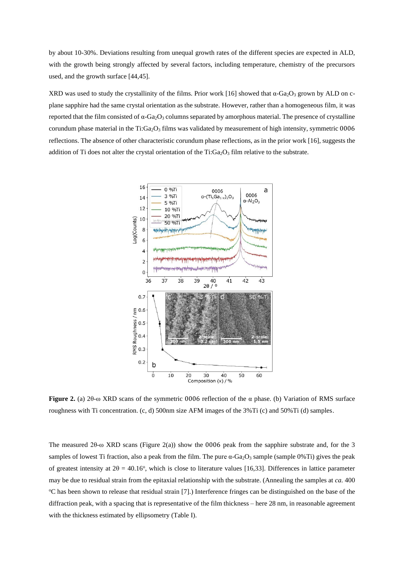by about 10-30%. Deviations resulting from unequal growth rates of the different species are expected in ALD, with the growth being strongly affected by several factors, including temperature, chemistry of the precursors used, and the growth surface [44,45].

XRD was used to study the crystallinity of the films. Prior work [16] showed that  $\alpha$ -Ga<sub>2</sub>O<sub>3</sub> grown by ALD on cplane sapphire had the same crystal orientation as the substrate. However, rather than a homogeneous film, it was reported that the film consisted of  $\alpha$ -Ga<sub>2</sub>O<sub>3</sub> columns separated by amorphous material. The presence of crystalline corundum phase material in the Ti:Ga<sub>2</sub>O<sub>3</sub> films was validated by measurement of high intensity, symmetric 0006 reflections. The absence of other characteristic corundum phase reflections, as in the prior work [16], suggests the addition of Ti does not alter the crystal orientation of the Ti: $Ga<sub>2</sub>O<sub>3</sub>$  film relative to the substrate.



**Figure 2.** (a) 2θ-ω XRD scans of the symmetric 0006 reflection of the α phase. (b) Variation of RMS surface roughness with Ti concentration. (c, d) 500nm size AFM images of the 3%Ti (c) and 50%Ti (d) samples.

The measured 2θ-ω XRD scans (Figure 2(a)) show the 0006 peak from the sapphire substrate and, for the 3 samples of lowest Ti fraction, also a peak from the film. The pure  $\alpha$ -Ga<sub>2</sub>O<sub>3</sub> sample (sample 0%Ti) gives the peak of greatest intensity at  $2\theta = 40.16^{\circ}$ , which is close to literature values [16,33]. Differences in lattice parameter may be due to residual strain from the epitaxial relationship with the substrate. (Annealing the samples at *ca.* 400 <sup>o</sup>C has been shown to release that residual strain [7].) Interference fringes can be distinguished on the base of the diffraction peak, with a spacing that is representative of the film thickness – here 28 nm, in reasonable agreement with the thickness estimated by ellipsometry (Table I).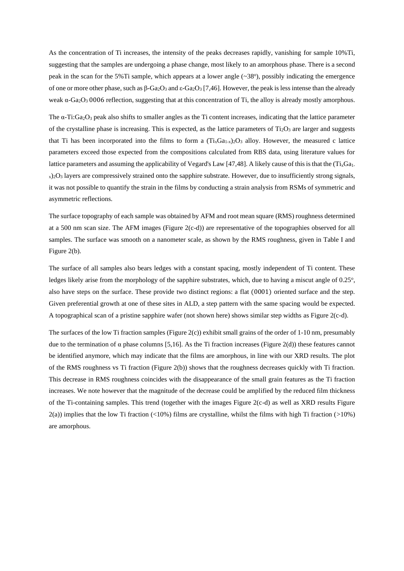As the concentration of Ti increases, the intensity of the peaks decreases rapidly, vanishing for sample 10%Ti, suggesting that the samples are undergoing a phase change, most likely to an amorphous phase. There is a second peak in the scan for the 5%Ti sample, which appears at a lower angle  $(-38^{\circ})$ , possibly indicating the emergence of one or more other phase, such as β-Ga2O<sup>3</sup> and ε-Ga2O<sup>3</sup> [7,46]. However, the peak is less intense than the already weak  $\alpha$ -Ga<sub>2</sub>O<sub>3</sub> 0006 reflection, suggesting that at this concentration of Ti, the alloy is already mostly amorphous.

The  $\alpha$ -Ti:Ga<sub>2</sub>O<sub>3</sub> peak also shifts to smaller angles as the Ti content increases, indicating that the lattice parameter of the crystalline phase is increasing. This is expected, as the lattice parameters of  $Ti<sub>2</sub>O<sub>3</sub>$  are larger and suggests that Ti has been incorporated into the films to form a  $(T<sub>i</sub>G<sub>4-*x*</sub>)<sub>2</sub>O<sub>3</sub>$  alloy. However, the measured c lattice parameters exceed those expected from the compositions calculated from RBS data, using literature values for lattice parameters and assuming the applicability of Vegard's Law [47,48]. A likely cause of this is that the  $(T<sub>i</sub>G<sub>4</sub>)$  $x_2$ ,  $2Q_3$  layers are compressively strained onto the sapphire substrate. However, due to insufficiently strong signals, it was not possible to quantify the strain in the films by conducting a strain analysis from RSMs of symmetric and asymmetric reflections.

The surface topography of each sample was obtained by AFM and root mean square (RMS) roughness determined at a 500 nm scan size. The AFM images (Figure 2(c-d)) are representative of the topographies observed for all samples. The surface was smooth on a nanometer scale, as shown by the RMS roughness, given in Table I and Figure 2(b).

The surface of all samples also bears ledges with a constant spacing, mostly independent of Ti content. These ledges likely arise from the morphology of the sapphire substrates, which, due to having a miscut angle of 0.25°, also have steps on the surface. These provide two distinct regions: a flat (0001) oriented surface and the step. Given preferential growth at one of these sites in ALD, a step pattern with the same spacing would be expected. A topographical scan of a pristine sapphire wafer (not shown here) shows similar step widths as Figure 2(c-d).

The surfaces of the low Ti fraction samples (Figure 2(c)) exhibit small grains of the order of 1-10 nm, presumably due to the termination of  $\alpha$  phase columns [5,16]. As the Ti fraction increases (Figure 2(d)) these features cannot be identified anymore, which may indicate that the films are amorphous, in line with our XRD results. The plot of the RMS roughness vs Ti fraction (Figure 2(b)) shows that the roughness decreases quickly with Ti fraction. This decrease in RMS roughness coincides with the disappearance of the small grain features as the Ti fraction increases. We note however that the magnitude of the decrease could be amplified by the reduced film thickness of the Ti-containing samples. This trend (together with the images Figure 2(c-d) as well as XRD results Figure  $2(a)$ ) implies that the low Ti fraction (<10%) films are crystalline, whilst the films with high Ti fraction (>10%) are amorphous.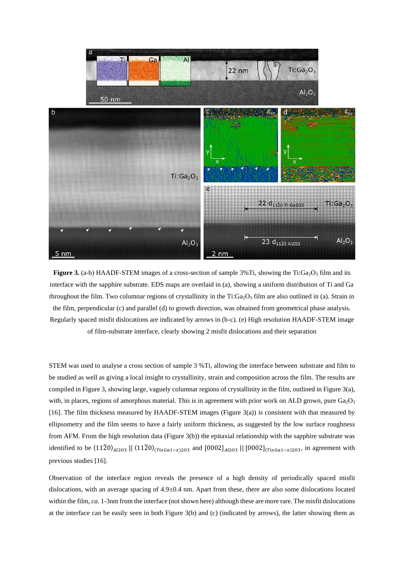

**Figure 3.** (a-b) HAADF-STEM images of a cross-section of sample 3%Ti, showing the Ti:Ga<sub>2</sub>O<sub>3</sub> film and its interface with the sapphire substrate. EDS maps are overlaid in (a), showing a uniform distribution of Ti and Ga throughout the film. Two columnar regions of crystallinity in the Ti:Ga<sub>2</sub>O<sub>3</sub> film are also outlined in (a). Strain in the film, perpendicular (c) and parallel (d) to growth direction, was obtained from geometrical phase analysis. Regularly spaced misfit dislocations are indicated by arrows in (b-c). (e) High resolution HAADF-STEM image of film-substrate interface, clearly showing 2 misfit dislocations and their separation

STEM was used to analyse a cross section of sample 3 %Ti, allowing the interface between substrate and film to be studied as well as giving a local insight to crystallinity, strain and composition across the film. The results are compiled in Figure 3, showing large, vaguely columnar regions of crystallinity in the film, outlined in Figure 3(a), with, in places, regions of amorphous material. This is in agreement with prior work on ALD grown, pure  $Ga<sub>2</sub>O<sub>3</sub>$ [16]. The film thickness measured by HAADF-STEM images (Figure 3(a)) is consistent with that measured by ellipsometry and the film seems to have a fairly uniform thickness, as suggested by the low surface roughness from AFM. From the high resolution data (Figure 3(b)) the epitaxial relationship with the sapphire substrate was identified to be  $(11\bar{2}0)_{A l203}$  ||  $(11\bar{2}0)_{(TixGa1-x)203}$  and  $[0002]_{A l203}$  ||  $[0002]_{(TixGa1-x)203}$ , in agreement with previous studies [16].

Observation of the interface region reveals the presence of a high density of periodically spaced misfit dislocations, with an average spacing of 4.9±0.4 nm. Apart from these, there are also some dislocations located within the film, *ca.* 1-3nm from the interface (not shown here) although these are more rare. The misfit dislocations at the interface can be easily seen in both Figure 3(b) and (c) (indicated by arrows), the latter showing them as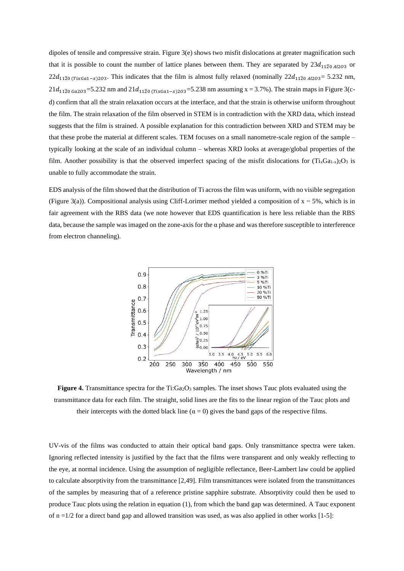dipoles of tensile and compressive strain. Figure 3(e) shows two misfit dislocations at greater magnification such that it is possible to count the number of lattice planes between them. They are separated by  $23d_{11\overline{2}0 A l203}$  or  $22d_{11\bar{2}0 (TixGa1-x)203}$ . This indicates that the film is almost fully relaxed (nominally  $22d_{11\bar{2}0 Al203} = 5.232$  nm, 21 $d_{11\bar{2}0\text{ }Ga203}=5.232$  nm and  $21d_{11\bar{2}0\text{ } (TixGa1-x)203}=5.238$  nm assuming x = 3.7%). The strain maps in Figure 3(cd) confirm that all the strain relaxation occurs at the interface, and that the strain is otherwise uniform throughout the film. The strain relaxation of the film observed in STEM is in contradiction with the XRD data, which instead suggests that the film is strained. A possible explanation for this contradiction between XRD and STEM may be that these probe the material at different scales. TEM focuses on a small nanometre-scale region of the sample – typically looking at the scale of an individual column – whereas XRD looks at average/global properties of the film. Another possibility is that the observed imperfect spacing of the misfit dislocations for  $(T_i_xG_{1-x})_2O_3$  is unable to fully accommodate the strain.

EDS analysis of the film showed that the distribution of Ti across the film was uniform, with no visible segregation (Figure 3(a)). Compositional analysis using Cliff-Lorimer method yielded a composition of  $x \sim 5\%$ , which is in fair agreement with the RBS data (we note however that EDS quantification is here less reliable than the RBS data, because the sample was imaged on the zone-axis for the  $\alpha$  phase and was therefore susceptible to interference from electron channeling).



**Figure 4.** Transmittance spectra for the  $Ti:Ga<sub>2</sub>O<sub>3</sub>$  samples. The inset shows Tauc plots evaluated using the transmittance data for each film. The straight, solid lines are the fits to the linear region of the Tauc plots and their intercepts with the dotted black line ( $\alpha = 0$ ) gives the band gaps of the respective films.

UV-vis of the films was conducted to attain their optical band gaps. Only transmittance spectra were taken. Ignoring reflected intensity is justified by the fact that the films were transparent and only weakly reflecting to the eye, at normal incidence. Using the assumption of negligible reflectance, Beer-Lambert law could be applied to calculate absorptivity from the transmittance [2,49]. Film transmittances were isolated from the transmittances of the samples by measuring that of a reference pristine sapphire substrate. Absorptivity could then be used to produce Tauc plots using the relation in equation (1), from which the band gap was determined. A Tauc exponent of  $n = 1/2$  for a direct band gap and allowed transition was used, as was also applied in other works [1-5]: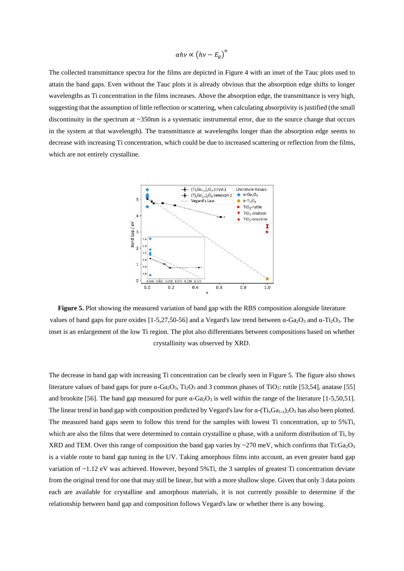$$
\alpha h v \propto \left( h v - E_g \right)^n
$$

The collected transmittance spectra for the films are depicted in Figure 4 with an inset of the Tauc plots used to attain the band gaps. Even without the Tauc plots it is already obvious that the absorption edge shifts to longer wavelengths as Ti concentration in the films increases. Above the absorption edge, the transmittance is very high, suggesting that the assumption of little reflection or scattering, when calculating absorptivity is justified (the small discontinuity in the spectrum at ~350nm is a systematic instrumental error, due to the source change that occurs in the system at that wavelength). The transmittance at wavelengths longer than the absorption edge seems to decrease with increasing Ti concentration, which could be due to increased scattering or reflection from the films, which are not entirely crystalline.



**Figure 5.** Plot showing the measured variation of band gap with the RBS composition alongside literature values of band gaps for pure oxides [1-5,27,50-56] and a Vegard's law trend between  $\alpha$ -Ga<sub>2</sub>O<sub>3</sub> and  $\alpha$ -Ti<sub>2</sub>O<sub>3</sub>. The inset is an enlargement of the low Ti region. The plot also differentiates between compositions based on whether crystallinity was observed by XRD.

The decrease in band gap with increasing Ti concentration can be clearly seen in Figure 5. The figure also shows literature values of band gaps for pure α-Ga<sub>2</sub>O<sub>3</sub>, Ti<sub>2</sub>O<sub>3</sub> and 3 common phases of TiO<sub>2</sub>: rutile [53,54], anatase [55] and brookite [56]. The band gap measured for pure  $\alpha$ -Ga<sub>2</sub>O<sub>3</sub> is well within the range of the literature [1-5,50,51]. The linear trend in band gap with composition predicted by Vegard's law for  $\alpha$ -(Ti<sub>x</sub>Ga<sub>1-x</sub>)<sub>2</sub>O<sub>3</sub> has also been plotted. The measured band gaps seem to follow this trend for the samples with lowest Ti concentration, up to 5%Ti, which are also the films that were determined to contain crystalline  $\alpha$  phase, with a uniform distribution of Ti, by XRD and TEM. Over this range of composition the band gap varies by ~270 meV, which confirms that Ti:Ga<sub>2</sub>O<sub>3</sub> is a viable route to band gap tuning in the UV. Taking amorphous films into account, an even greater band gap variation of ~1.12 eV was achieved. However, beyond 5%Ti, the 3 samples of greatest Ti concentration deviate from the original trend for one that may still be linear, but with a more shallow slope. Given that only 3 data points each are available for crystalline and amorphous materials, it is not currently possible to determine if the relationship between band gap and composition follows Vegard's law or whether there is any bowing.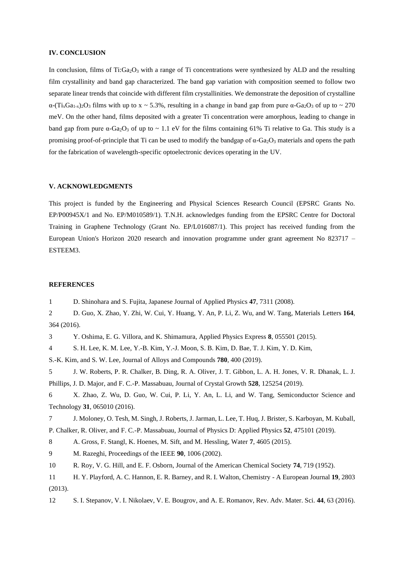## **IV. CONCLUSION**

In conclusion, films of Ti: $Ga<sub>2</sub>O<sub>3</sub>$  with a range of Ti concentrations were synthesized by ALD and the resulting film crystallinity and band gap characterized. The band gap variation with composition seemed to follow two separate linear trends that coincide with different film crystallinities. We demonstrate the deposition of crystalline  $\alpha$ -(Ti<sub>x</sub>Ga<sub>1-x</sub>)<sub>2</sub>O<sub>3</sub> films with up to x ~ 5.3%, resulting in a change in band gap from pure  $\alpha$ -Ga<sub>2</sub>O<sub>3</sub> of up to ~ 270 meV. On the other hand, films deposited with a greater Ti concentration were amorphous, leading to change in band gap from pure  $\alpha$ -Ga<sub>2</sub>O<sub>3</sub> of up to ~ 1.1 eV for the films containing 61% Ti relative to Ga. This study is a promising proof-of-principle that Ti can be used to modify the bandgap of  $\alpha$ -Ga<sub>2</sub>O<sub>3</sub> materials and opens the path for the fabrication of wavelength-specific optoelectronic devices operating in the UV.

### **V. ACKNOWLEDGMENTS**

This project is funded by the Engineering and Physical Sciences Research Council (EPSRC Grants No. EP/P00945X/1 and No. EP/M010589/1). T.N.H. acknowledges funding from the EPSRC Centre for Doctoral Training in Graphene Technology (Grant No. EP/L016087/1). This project has received funding from the European Union's Horizon 2020 research and innovation programme under grant agreement No 823717 – ESTEEM3.

### **REFERENCES**

1 D. Shinohara and S. Fujita, Japanese Journal of Applied Physics **47**, 7311 (2008).

2 D. Guo, X. Zhao, Y. Zhi, W. Cui, Y. Huang, Y. An, P. Li, Z. Wu, and W. Tang, Materials Letters **164**, 364 (2016).

3 Y. Oshima, E. G. Villora, and K. Shimamura, Applied Physics Express **8**, 055501 (2015).

4 S. H. Lee, K. M. Lee, Y.-B. Kim, Y.-J. Moon, S. B. Kim, D. Bae, T. J. Kim, Y. D. Kim,

S.-K. Kim, and S. W. Lee, Journal of Alloys and Compounds **780**, 400 (2019).

5 J. W. Roberts, P. R. Chalker, B. Ding, R. A. Oliver, J. T. Gibbon, L. A. H. Jones, V. R. Dhanak, L. J. Phillips, J. D. Major, and F. C.-P. Massabuau, Journal of Crystal Growth **528**, 125254 (2019).

6 X. Zhao, Z. Wu, D. Guo, W. Cui, P. Li, Y. An, L. Li, and W. Tang, Semiconductor Science and Technology **31**, 065010 (2016).

7 J. Moloney, O. Tesh, M. Singh, J. Roberts, J. Jarman, L. Lee, T. Huq, J. Brister, S. Karboyan, M. Kuball,

P. Chalker, R. Oliver, and F. C.-P. Massabuau, Journal of Physics D: Applied Physics **52**, 475101 (2019).

8 A. Gross, F. Stangl, K. Hoenes, M. Sift, and M. Hessling, Water **7**, 4605 (2015).

9 M. Razeghi, Proceedings of the IEEE **90**, 1006 (2002).

10 R. Roy, V. G. Hill, and E. F. Osborn, Journal of the American Chemical Society **74**, 719 (1952).

11 H. Y. Playford, A. C. Hannon, E. R. Barney, and R. I. Walton, Chemistry - A European Journal **19**, 2803 (2013).

12 S. I. Stepanov, V. I. Nikolaev, V. E. Bougrov, and A. E. Romanov, Rev. Adv. Mater. Sci. **44**, 63 (2016).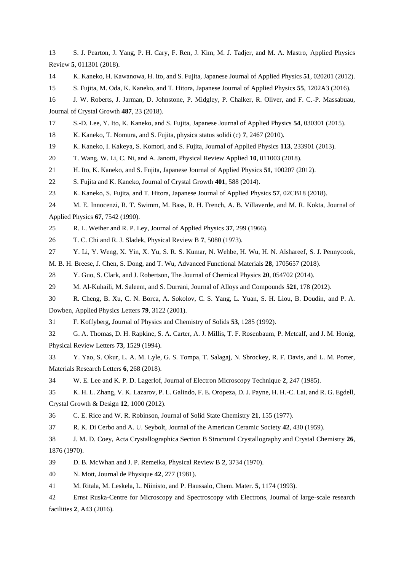S. J. Pearton, J. Yang, P. H. Cary, F. Ren, J. Kim, M. J. Tadjer, and M. A. Mastro, Applied Physics Review **5**, 011301 (2018).

K. Kaneko, H. Kawanowa, H. Ito, and S. Fujita, Japanese Journal of Applied Physics **51**, 020201 (2012).

S. Fujita, M. Oda, K. Kaneko, and T. Hitora, Japanese Journal of Applied Physics **55**, 1202A3 (2016).

 J. W. Roberts, J. Jarman, D. Johnstone, P. Midgley, P. Chalker, R. Oliver, and F. C.-P. Massabuau, Journal of Crystal Growth **487**, 23 (2018).

S.-D. Lee, Y. Ito, K. Kaneko, and S. Fujita, Japanese Journal of Applied Physics **54**, 030301 (2015).

K. Kaneko, T. Nomura, and S. Fujita, physica status solidi (c) **7**, 2467 (2010).

K. Kaneko, I. Kakeya, S. Komori, and S. Fujita, Journal of Applied Physics **113**, 233901 (2013).

T. Wang, W. Li, C. Ni, and A. Janotti, Physical Review Applied **10**, 011003 (2018).

H. Ito, K. Kaneko, and S. Fujita, Japanese Journal of Applied Physics **51**, 100207 (2012).

S. Fujita and K. Kaneko, Journal of Crystal Growth **401**, 588 (2014).

K. Kaneko, S. Fujita, and T. Hitora, Japanese Journal of Applied Physics **57**, 02CB18 (2018).

 M. E. Innocenzi, R. T. Swimm, M. Bass, R. H. French, A. B. Villaverde, and M. R. Kokta, Journal of Applied Physics **67**, 7542 (1990).

R. L. Weiher and R. P. Ley, Journal of Applied Physics **37**, 299 (1966).

T. C. Chi and R. J. Sladek, Physical Review B **7**, 5080 (1973).

Y. Li, Y. Weng, X. Yin, X. Yu, S. R. S. Kumar, N. Wehbe, H. Wu, H. N. Alshareef, S. J. Pennycook,

M. B. H. Breese, J. Chen, S. Dong, and T. Wu, Advanced Functional Materials **28**, 1705657 (2018).

Y. Guo, S. Clark, and J. Robertson, The Journal of Chemical Physics **20**, 054702 (2014).

M. Al-Kuhaili, M. Saleem, and S. Durrani, Journal of Alloys and Compounds **521**, 178 (2012).

 R. Cheng, B. Xu, C. N. Borca, A. Sokolov, C. S. Yang, L. Yuan, S. H. Liou, B. Doudin, and P. A. Dowben, Applied Physics Letters **79**, 3122 (2001).

F. Koffyberg, Journal of Physics and Chemistry of Solids **53**, 1285 (1992).

 G. A. Thomas, D. H. Rapkine, S. A. Carter, A. J. Millis, T. F. Rosenbaum, P. Metcalf, and J. M. Honig, Physical Review Letters **73**, 1529 (1994).

 Y. Yao, S. Okur, L. A. M. Lyle, G. S. Tompa, T. Salagaj, N. Sbrockey, R. F. Davis, and L. M. Porter, Materials Research Letters **6**, 268 (2018).

W. E. Lee and K. P. D. Lagerlof, Journal of Electron Microscopy Technique **2**, 247 (1985).

 K. H. L. Zhang, V. K. Lazarov, P. L. Galindo, F. E. Oropeza, D. J. Payne, H. H.-C. Lai, and R. G. Egdell, Crystal Growth & Design **12**, 1000 (2012).

C. E. Rice and W. R. Robinson, Journal of Solid State Chemistry **21**, 155 (1977).

R. K. Di Cerbo and A. U. Seybolt, Journal of the American Ceramic Society **42**, 430 (1959).

 J. M. D. Coey, Acta Crystallographica Section B Structural Crystallography and Crystal Chemistry **26**, 1876 (1970).

D. B. McWhan and J. P. Remeika, Physical Review B **2**, 3734 (1970).

N. Mott, Journal de Physique **42**, 277 (1981).

M. Ritala, M. Leskela, L. Niinisto, and P. Haussalo, Chem. Mater. **5**, 1174 (1993).

 Ernst Ruska-Centre for Microscopy and Spectroscopy with Electrons, Journal of large-scale research facilities **2**, A43 (2016).